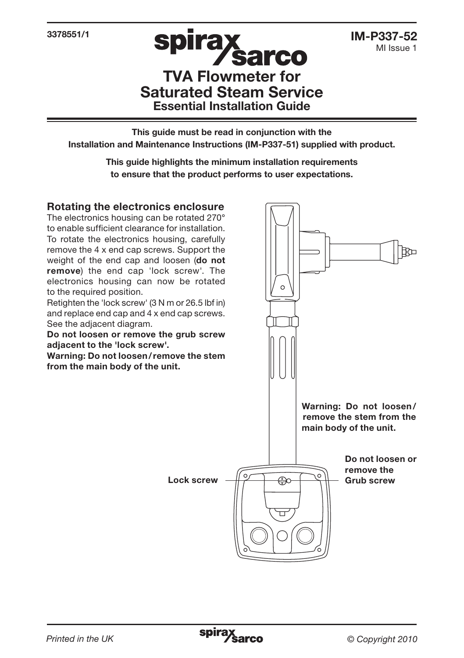3378551/1

# **Spill a Sarco**<br>TVA Flowmeter for Saturated Steam Service Essential Installation Guide

**spirax** 

This guide must be read in conjunction with the Installation and Maintenance Instructions (IM-P337-51) supplied with product.

> This guide highlights the minimum installation requirements to ensure that the product performs to user expectations.

#### Rotating the electronics enclosure

The electronics housing can be rotated 270° to enable sufficient clearance for installation. To rotate the electronics housing, carefully remove the 4 x end cap screws. Support the weight of the end cap and loosen (do not remove) the end cap 'lock screw'. The electronics housing can now be rotated to the required position.

Retighten the 'lock screw' (3 N m or 26.5 lbf in) and replace end cap and 4 x end cap screws. See the adjacent diagram.

Do not loosen or remove the grub screw adjacent to the 'lock screw'.

Warning: Do not loosen/remove the stem from the main body of the unit.

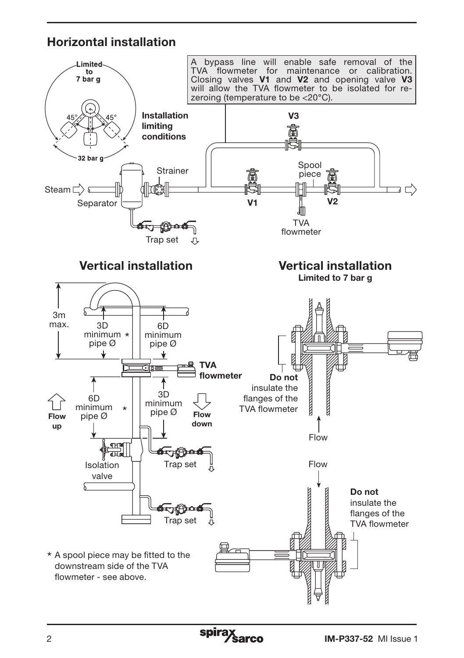## Horizontal installation